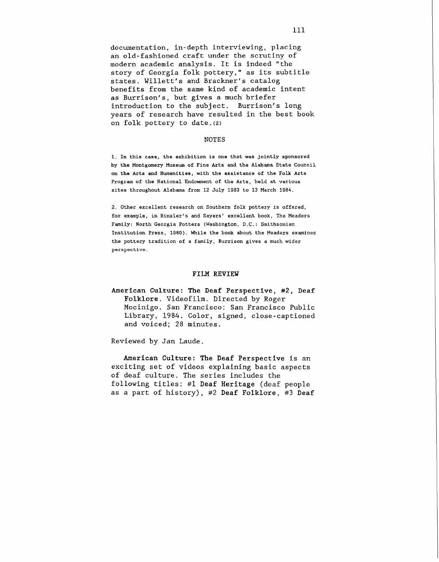documentation, in-depth interviewing, placing an old-fashioned craft under the scrutiny of modern academic analysis. It is indeed "the story of Georgia folk pottery," as its subtitle states. Willett's and Brackner's catalog benefits from the same kind of academic intent as Burrison's, but gives a much briefer introduction to the subject. Burrison's long years of research have resulted in the best book on folk pottery to date.(z)

## NOTES

**1.** In this case, the exhibition is one that was jointly sponsored by the Montgomery Museum of Fine Arts and the Alabama State Council on the Arts and Humanities, with the assistance of the Folk Arts Program of the National Endowment of the Arts, held at various sites throughout Alabama from **12** July 1983 to **13** March **1984.** 

2. Other excellent research on Southern folk pottery is offered, for example, in Rinzler's and Sayers' excellent book, The Meaders Family: North Georgia Potters (Washington, D.C.: Smithsonian Institution Press, **1980).** While the book about the Meaders examines the pottery tradition of a family, Burrison gives a much wider perspective.

## FILM REVIEW

American Culture: The Deaf Perspective, #2, Deaf Folklore. Videofilm. Directed by Roger Mocinigo. San Francisco: San Francisco Public Library, 1984. Color, signed, close-captioned and voiced; 28 minutes.

Reviewed by Jan Laude.

American Culture: The Deaf Perspective is an exciting set of videos explaining basic aspects of deaf culture. The series includes the following titles: #1 Deaf Heritage (deaf people as a part of history), #2 Deaf Folklore, **#3** Deaf